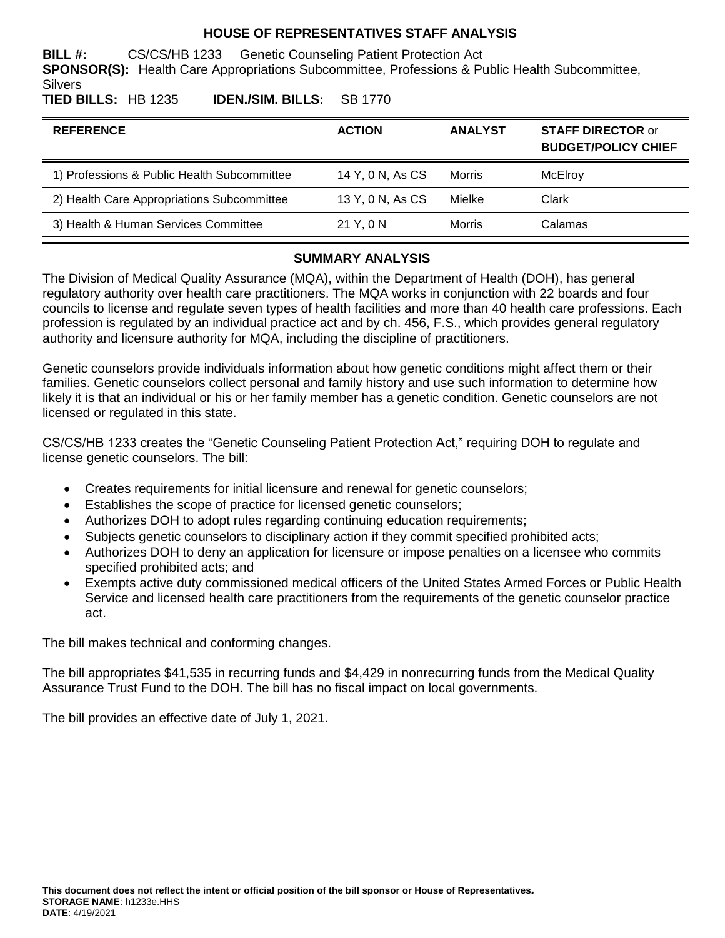### **HOUSE OF REPRESENTATIVES STAFF ANALYSIS**

**BILL #:** CS/CS/HB 1233 Genetic Counseling Patient Protection Act **SPONSOR(S):** Health Care Appropriations Subcommittee, Professions & Public Health Subcommittee, **Silvers** 

**TIED BILLS:** HB 1235 **IDEN./SIM. BILLS:** SB 1770

| <b>REFERENCE</b>                            | <b>ACTION</b>    | <b>ANALYST</b> | <b>STAFF DIRECTOR or</b><br><b>BUDGET/POLICY CHIEF</b> |
|---------------------------------------------|------------------|----------------|--------------------------------------------------------|
| 1) Professions & Public Health Subcommittee | 14 Y, 0 N, As CS | Morris         | McElroy                                                |
| 2) Health Care Appropriations Subcommittee  | 13 Y, 0 N, As CS | Mielke         | Clark                                                  |
| 3) Health & Human Services Committee        | 21 Y, 0 N        | Morris         | Calamas                                                |

#### **SUMMARY ANALYSIS**

The Division of Medical Quality Assurance (MQA), within the Department of Health (DOH), has general regulatory authority over health care practitioners. The MQA works in conjunction with 22 boards and four councils to license and regulate seven types of health facilities and more than 40 health care professions. Each profession is regulated by an individual practice act and by ch. 456, F.S., which provides general regulatory authority and licensure authority for MQA, including the discipline of practitioners.

Genetic counselors provide individuals information about how genetic conditions might affect them or their families. Genetic counselors collect personal and family history and use such information to determine how likely it is that an individual or his or her family member has a genetic condition. Genetic counselors are not licensed or regulated in this state.

CS/CS/HB 1233 creates the "Genetic Counseling Patient Protection Act," requiring DOH to regulate and license genetic counselors. The bill:

- Creates requirements for initial licensure and renewal for genetic counselors;
- Establishes the scope of practice for licensed genetic counselors;
- Authorizes DOH to adopt rules regarding continuing education requirements;
- Subjects genetic counselors to disciplinary action if they commit specified prohibited acts;
- Authorizes DOH to deny an application for licensure or impose penalties on a licensee who commits specified prohibited acts; and
- Exempts active duty commissioned medical officers of the United States Armed Forces or Public Health Service and licensed health care practitioners from the requirements of the genetic counselor practice act.

The bill makes technical and conforming changes.

The bill appropriates \$41,535 in recurring funds and \$4,429 in nonrecurring funds from the Medical Quality Assurance Trust Fund to the DOH. The bill has no fiscal impact on local governments.

The bill provides an effective date of July 1, 2021.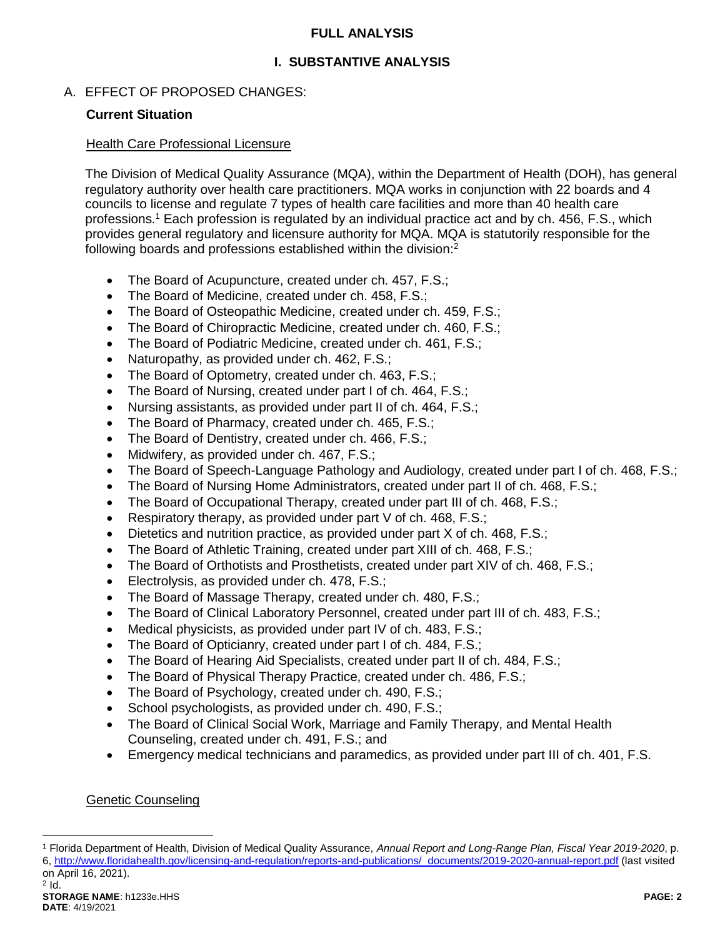### **FULL ANALYSIS**

# **I. SUBSTANTIVE ANALYSIS**

# A. EFFECT OF PROPOSED CHANGES:

# **Current Situation**

### Health Care Professional Licensure

The Division of Medical Quality Assurance (MQA), within the Department of Health (DOH), has general regulatory authority over health care practitioners. MQA works in conjunction with 22 boards and 4 councils to license and regulate 7 types of health care facilities and more than 40 health care professions.<sup>1</sup> Each profession is regulated by an individual practice act and by ch. 456, F.S., which provides general regulatory and licensure authority for MQA. MQA is statutorily responsible for the following boards and professions established within the division:<sup>2</sup>

- The Board of Acupuncture, created under ch. 457, F.S.;
- The Board of Medicine, created under ch. 458, F.S.;
- The Board of Osteopathic Medicine, created under ch. 459, F.S.;
- The Board of Chiropractic Medicine, created under ch. 460, F.S.:
- The Board of Podiatric Medicine, created under ch. 461, F.S.;
- Naturopathy, as provided under ch. 462, F.S.;
- The Board of Optometry, created under ch. 463, F.S.;
- The Board of Nursing, created under part I of ch. 464, F.S.;
- Nursing assistants, as provided under part II of ch. 464, F.S.;
- The Board of Pharmacy, created under ch. 465, F.S.;
- The Board of Dentistry, created under ch. 466, F.S.;
- Midwifery, as provided under ch. 467, F.S.;
- The Board of Speech-Language Pathology and Audiology, created under part I of ch. 468, F.S.;
- The Board of Nursing Home Administrators, created under part II of ch. 468, F.S.;
- The Board of Occupational Therapy, created under part III of ch. 468, F.S.;
- Respiratory therapy, as provided under part V of ch. 468, F.S.;
- Dietetics and nutrition practice, as provided under part X of ch. 468, F.S.;
- The Board of Athletic Training, created under part XIII of ch. 468, F.S.;
- The Board of Orthotists and Prosthetists, created under part XIV of ch. 468, F.S.;
- **Electrolysis, as provided under ch. 478, F.S.;**
- The Board of Massage Therapy, created under ch. 480, F.S.;
- The Board of Clinical Laboratory Personnel, created under part III of ch. 483, F.S.;
- Medical physicists, as provided under part IV of ch. 483, F.S.;
- The Board of Opticianry, created under part I of ch. 484, F.S.;
- The Board of Hearing Aid Specialists, created under part II of ch. 484, F.S.;
- The Board of Physical Therapy Practice, created under ch. 486, F.S.;
- The Board of Psychology, created under ch. 490, F.S.;
- School psychologists, as provided under ch. 490, F.S.;
- The Board of Clinical Social Work, Marriage and Family Therapy, and Mental Health Counseling, created under ch. 491, F.S.; and
- Emergency medical technicians and paramedics, as provided under part III of ch. 401, F.S.

# Genetic Counseling

<sup>1</sup> Florida Department of Health, Division of Medical Quality Assurance, *Annual Report and Long-Range Plan, Fiscal Year 2019-2020*, p. 6, [http://www.floridahealth.gov/licensing-and-regulation/reports-and-publications/\\_documents/2019-2020-annual-report.pdf](http://www.floridahealth.gov/licensing-and-regulation/reports-and-publications/_documents/2019-2020-annual-report.pdf) (last visited on April 16, 2021).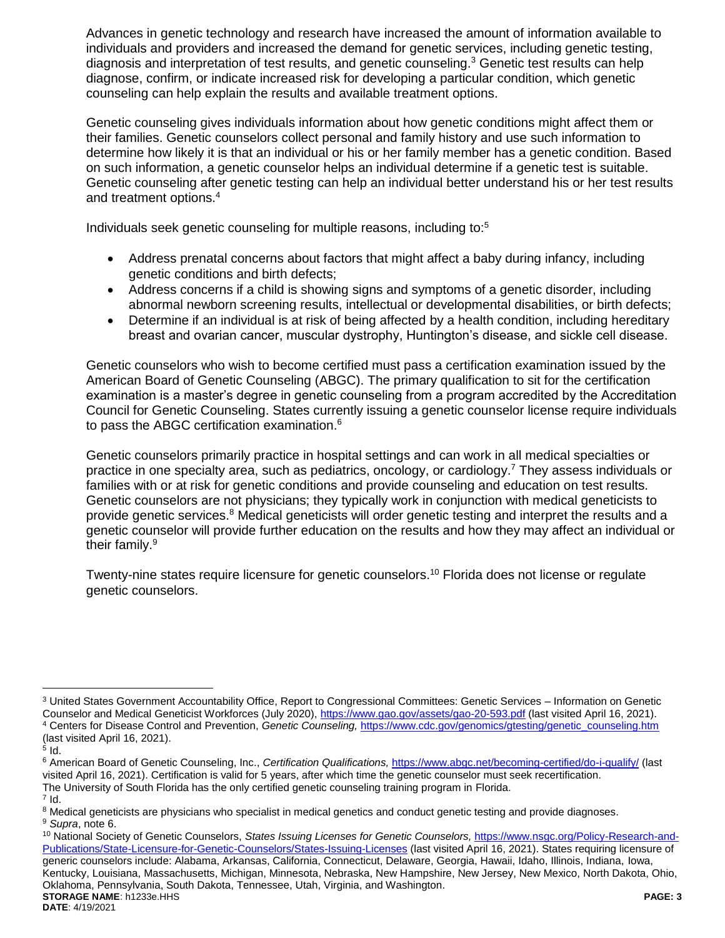Advances in genetic technology and research have increased the amount of information available to individuals and providers and increased the demand for genetic services, including genetic testing, diagnosis and interpretation of test results, and genetic counseling.<sup>3</sup> Genetic test results can help diagnose, confirm, or indicate increased risk for developing a particular condition, which genetic counseling can help explain the results and available treatment options.

Genetic counseling gives individuals information about how genetic conditions might affect them or their families. Genetic counselors collect personal and family history and use such information to determine how likely it is that an individual or his or her family member has a genetic condition. Based on such information, a genetic counselor helps an individual determine if a genetic test is suitable. Genetic counseling after genetic testing can help an individual better understand his or her test results and treatment options.<sup>4</sup>

Individuals seek genetic counseling for multiple reasons, including to:<sup>5</sup>

- <span id="page-2-1"></span> Address prenatal concerns about factors that might affect a baby during infancy, including genetic conditions and birth defects;
- Address concerns if a child is showing signs and symptoms of a genetic disorder, including abnormal newborn screening results, intellectual or developmental disabilities, or birth defects;
- <span id="page-2-0"></span> Determine if an individual is at risk of being affected by a health condition, including hereditary breast and ovarian cancer, muscular dystrophy, Huntington's disease, and sickle cell disease.

Genetic counselors who wish to become certified must pass a certification examination issued by the American Board of Genetic Counseling (ABGC). The primary qualification to sit for the certification examination is a master's degree in genetic counseling from a program accredited by the Accreditation Council for Genetic Counseling. States currently issuing a genetic counselor license require individuals to pass the ABGC certification examination.<sup>6</sup>

Genetic counselors primarily practice in hospital settings and can work in all medical specialties or practice in one specialty area, such as pediatrics, oncology, or cardiology.<sup>7</sup> They assess individuals or families with or at risk for genetic conditions and provide counseling and education on test results. Genetic counselors are not physicians; they typically work in conjunction with medical geneticists to provide genetic services.<sup>8</sup> Medical geneticists will order genetic testing and interpret the results and a genetic counselor will provide further education on the results and how they may affect an individual or their family.<sup>9</sup>

Twenty-nine states require licensure for genetic counselors.<sup>10</sup> Florida does not license or regulate genetic counselors.

<sup>3</sup> United States Government Accountability Office, Report to Congressional Committees: Genetic Services – Information on Genetic Counselor and Medical Geneticist Workforces (July 2020),<https://www.gao.gov/assets/gao-20-593.pdf> (last visited April 16, 2021). <sup>4</sup> Centers for Disease Control and Prevention, *Genetic Counseling,* [https://www.cdc.gov/genomics/gtesting/genetic\\_counseling.htm](https://www.cdc.gov/genomics/gtesting/genetic_counseling.htm) (last visited April 16, 2021).

 $^5$  Id.

<sup>6</sup> American Board of Genetic Counseling, Inc., *Certification Qualifications,* <https://www.abgc.net/becoming-certified/do-i-qualify/> (last visited April 16, 2021). Certification is valid for 5 years, after which time the genetic counselor must seek recertification. The University of South Florida has the only certified genetic counseling training program in Florida.

 $^7$  Id.

<sup>&</sup>lt;sup>8</sup> Medical geneticists are physicians who specialist in medical genetics and conduct genetic testing and provide diagnoses. <sup>9</sup> *Supra*, note [6.](#page-2-0)

**STORAGE NAME**: h1233e.HHS **PAGE: 3 DATE**: 4/19/2021 <sup>10</sup> National Society of Genetic Counselors, *States Issuing Licenses for Genetic Counselors,* [https://www.nsgc.org/Policy-Research-and-](https://www.nsgc.org/Policy-Research-and-Publications/State-Licensure-for-Genetic-Counselors/States-Issuing-Licenses)[Publications/State-Licensure-for-Genetic-Counselors/States-Issuing-Licenses](https://www.nsgc.org/Policy-Research-and-Publications/State-Licensure-for-Genetic-Counselors/States-Issuing-Licenses) (last visited April 16, 2021). States requiring licensure of generic counselors include: Alabama, Arkansas, California, Connecticut, Delaware, Georgia, Hawaii, Idaho, Illinois, Indiana, Iowa, Kentucky, Louisiana, Massachusetts, Michigan, Minnesota, Nebraska, New Hampshire, New Jersey, New Mexico, North Dakota, Ohio, Oklahoma, Pennsylvania, South Dakota, Tennessee, Utah, Virginia, and Washington.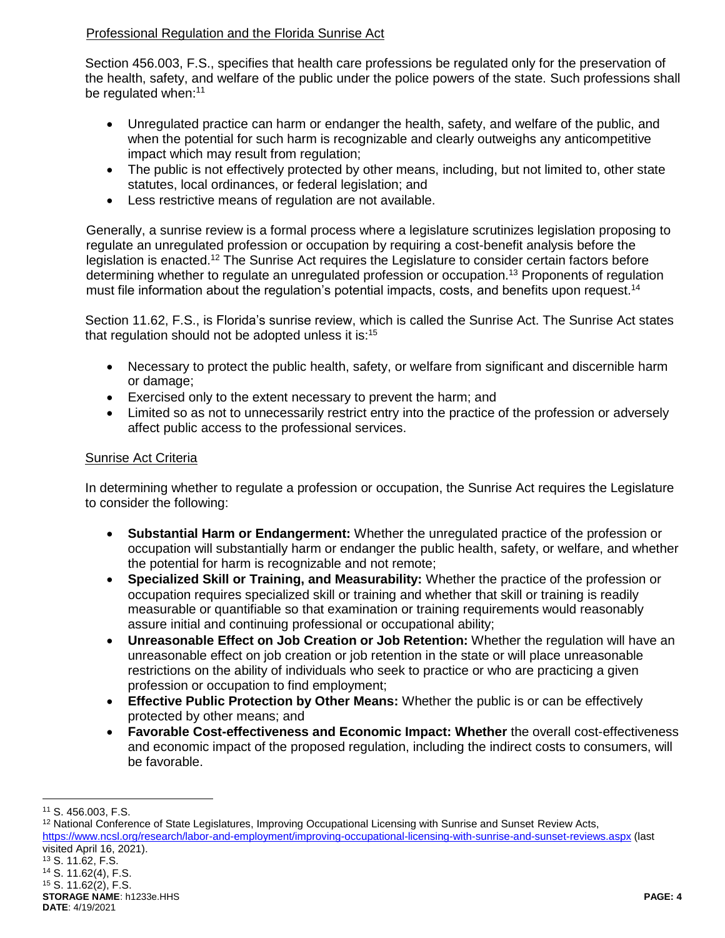# Professional Regulation and the Florida Sunrise Act

Section 456.003, F.S., specifies that health care professions be regulated only for the preservation of the health, safety, and welfare of the public under the police powers of the state. Such professions shall be regulated when:<sup>11</sup>

- Unregulated practice can harm or endanger the health, safety, and welfare of the public, and when the potential for such harm is recognizable and clearly outweighs any anticompetitive impact which may result from regulation;
- The public is not effectively protected by other means, including, but not limited to, other state statutes, local ordinances, or federal legislation; and
- Less restrictive means of regulation are not available.

Generally, a sunrise review is a formal process where a legislature scrutinizes legislation proposing to regulate an unregulated profession or occupation by requiring a cost-benefit analysis before the legislation is enacted.<sup>12</sup> The Sunrise Act requires the Legislature to consider certain factors before determining whether to regulate an unregulated profession or occupation.<sup>13</sup> Proponents of regulation must file information about the regulation's potential impacts, costs, and benefits upon request.<sup>14</sup>

Section 11.62, F.S., is Florida's sunrise review, which is called the Sunrise Act. The Sunrise Act states that regulation should not be adopted unless it is:<sup>15</sup>

- Necessary to protect the public health, safety, or welfare from significant and discernible harm or damage;
- Exercised only to the extent necessary to prevent the harm; and
- Limited so as not to unnecessarily restrict entry into the practice of the profession or adversely affect public access to the professional services.

# Sunrise Act Criteria

In determining whether to regulate a profession or occupation, the Sunrise Act requires the Legislature to consider the following:

- **Substantial Harm or Endangerment:** Whether the unregulated practice of the profession or occupation will substantially harm or endanger the public health, safety, or welfare, and whether the potential for harm is recognizable and not remote;
- **Specialized Skill or Training, and Measurability:** Whether the practice of the profession or occupation requires specialized skill or training and whether that skill or training is readily measurable or quantifiable so that examination or training requirements would reasonably assure initial and continuing professional or occupational ability;
- **Unreasonable Effect on Job Creation or Job Retention:** Whether the regulation will have an unreasonable effect on job creation or job retention in the state or will place unreasonable restrictions on the ability of individuals who seek to practice or who are practicing a given profession or occupation to find employment;
- **Effective Public Protection by Other Means:** Whether the public is or can be effectively protected by other means; and
- **Favorable Cost-effectiveness and Economic Impact: Whether** the overall cost-effectiveness and economic impact of the proposed regulation, including the indirect costs to consumers, will be favorable.

<sup>11</sup> S. 456.003, F.S.

<sup>&</sup>lt;sup>12</sup> National Conference of State Legislatures, Improving Occupational Licensing with Sunrise and Sunset Review Acts, <https://www.ncsl.org/research/labor-and-employment/improving-occupational-licensing-with-sunrise-and-sunset-reviews.aspx> (last visited April 16, 2021). <sup>13</sup> S. 11.62, F.S.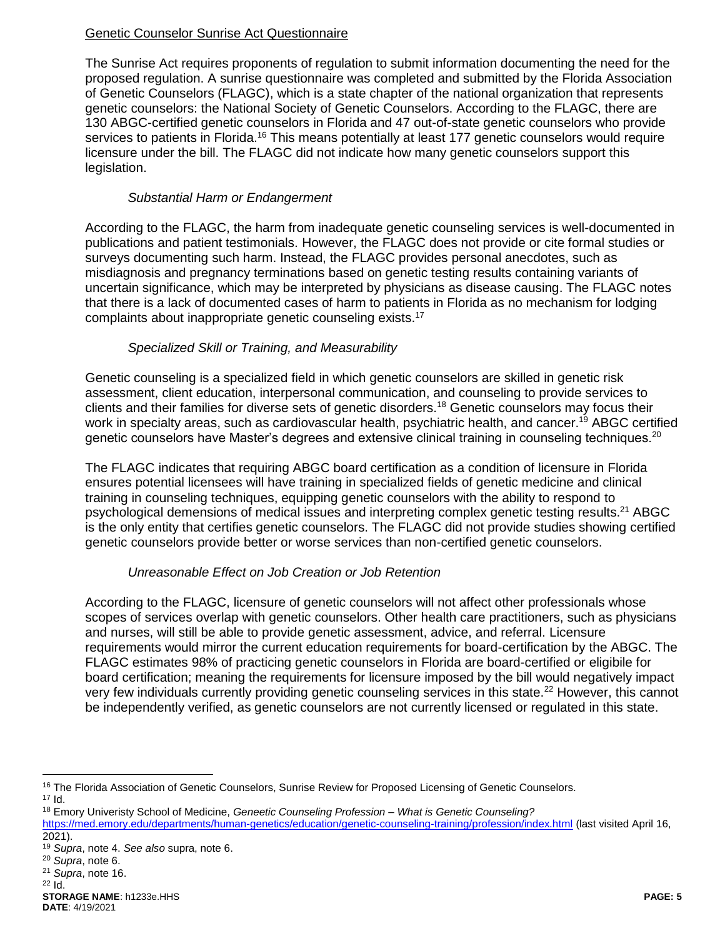# Genetic Counselor Sunrise Act Questionnaire

The Sunrise Act requires proponents of regulation to submit information documenting the need for the proposed regulation. A sunrise questionnaire was completed and submitted by the Florida Association of Genetic Counselors (FLAGC), which is a state chapter of the national organization that represents genetic counselors: the National Society of Genetic Counselors. According to the FLAGC, there are 130 ABGC-certified genetic counselors in Florida and 47 out-of-state genetic counselors who provide services to patients in Florida.<sup>16</sup> This means potentially at least 177 genetic counselors would require licensure under the bill. The FLAGC did not indicate how many genetic counselors support this legislation.

### <span id="page-4-0"></span>*Substantial Harm or Endangerment*

According to the FLAGC, the harm from inadequate genetic counseling services is well-documented in publications and patient testimonials. However, the FLAGC does not provide or cite formal studies or surveys documenting such harm. Instead, the FLAGC provides personal anecdotes, such as misdiagnosis and pregnancy terminations based on genetic testing results containing variants of uncertain significance, which may be interpreted by physicians as disease causing. The FLAGC notes that there is a lack of documented cases of harm to patients in Florida as no mechanism for lodging complaints about inappropriate genetic counseling exists.<sup>17</sup>

# *Specialized Skill or Training, and Measurability*

Genetic counseling is a specialized field in which genetic counselors are skilled in genetic risk assessment, client education, interpersonal communication, and counseling to provide services to clients and their families for diverse sets of genetic disorders.<sup>18</sup> Genetic counselors may focus their work in specialty areas, such as cardiovascular health, psychiatric health, and cancer.<sup>19</sup> ABGC certified genetic counselors have Master's degrees and extensive clinical training in counseling techniques.<sup>20</sup>

The FLAGC indicates that requiring ABGC board certification as a condition of licensure in Florida ensures potential licensees will have training in specialized fields of genetic medicine and clinical training in counseling techniques, equipping genetic counselors with the ability to respond to psychological demensions of medical issues and interpreting complex genetic testing results.<sup>21</sup> ABGC is the only entity that certifies genetic counselors. The FLAGC did not provide studies showing certified genetic counselors provide better or worse services than non-certified genetic counselors.

# *Unreasonable Effect on Job Creation or Job Retention*

According to the FLAGC, licensure of genetic counselors will not affect other professionals whose scopes of services overlap with genetic counselors. Other health care practitioners, such as physicians and nurses, will still be able to provide genetic assessment, advice, and referral. Licensure requirements would mirror the current education requirements for board-certification by the ABGC. The FLAGC estimates 98% of practicing genetic counselors in Florida are board-certified or eligibile for board certification; meaning the requirements for licensure imposed by the bill would negatively impact very few individuals currently providing genetic counseling services in this state.<sup>22</sup> However, this cannot be independently verified, as genetic counselors are not currently licensed or regulated in this state.

<sup>&</sup>lt;sup>16</sup> The Florida Association of Genetic Counselors, Sunrise Review for Proposed Licensing of Genetic Counselors.  $17$  Id.

<sup>18</sup> Emory Univeristy School of Medicine, *Geneetic Counseling Profession – What is Genetic Counseling?* 

<https://med.emory.edu/departments/human-genetics/education/genetic-counseling-training/profession/index.html> (last visited April 16, 2021).

<sup>19</sup> *Supra*, note [4.](#page-2-1) *See also* supra, note [6.](#page-2-0)

<sup>20</sup> *Supra*, note [6.](#page-2-0)

<sup>21</sup> *Supra*, note [16.](#page-4-0)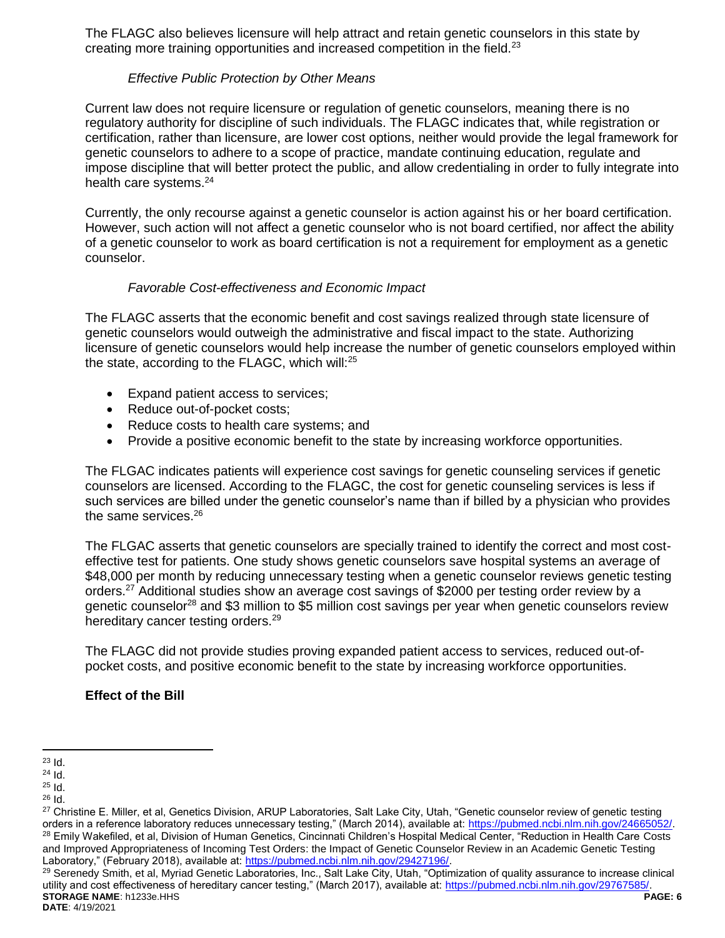The FLAGC also believes licensure will help attract and retain genetic counselors in this state by creating more training opportunities and increased competition in the field.<sup>23</sup>

### *Effective Public Protection by Other Means*

Current law does not require licensure or regulation of genetic counselors, meaning there is no regulatory authority for discipline of such individuals. The FLAGC indicates that, while registration or certification, rather than licensure, are lower cost options, neither would provide the legal framework for genetic counselors to adhere to a scope of practice, mandate continuing education, regulate and impose discipline that will better protect the public, and allow credentialing in order to fully integrate into health care systems.<sup>24</sup>

Currently, the only recourse against a genetic counselor is action against his or her board certification. However, such action will not affect a genetic counselor who is not board certified, nor affect the ability of a genetic counselor to work as board certification is not a requirement for employment as a genetic counselor.

### *Favorable Cost-effectiveness and Economic Impact*

The FLAGC asserts that the economic benefit and cost savings realized through state licensure of genetic counselors would outweigh the administrative and fiscal impact to the state. Authorizing licensure of genetic counselors would help increase the number of genetic counselors employed within the state, according to the FLAGC, which will:<sup>25</sup>

- Expand patient access to services;
- Reduce out-of-pocket costs;
- Reduce costs to health care systems; and
- Provide a positive economic benefit to the state by increasing workforce opportunities.

The FLGAC indicates patients will experience cost savings for genetic counseling services if genetic counselors are licensed. According to the FLAGC, the cost for genetic counseling services is less if such services are billed under the genetic counselor's name than if billed by a physician who provides the same services.<sup>26</sup>

The FLGAC asserts that genetic counselors are specially trained to identify the correct and most costeffective test for patients. One study shows genetic counselors save hospital systems an average of \$48,000 per month by reducing unnecessary testing when a genetic counselor reviews genetic testing orders.<sup>27</sup> Additional studies show an average cost savings of \$2000 per testing order review by a genetic counselor<sup>28</sup> and \$3 million to \$5 million cost savings per year when genetic counselors review hereditary cancer testing orders.<sup>29</sup>

The FLAGC did not provide studies proving expanded patient access to services, reduced out-ofpocket costs, and positive economic benefit to the state by increasing workforce opportunities.

#### **Effect of the Bill**

 $\overline{a}$  $^{23}$  Id.

 $24$  Id.

<sup>25</sup> Id.

<sup>26</sup> Id.

<sup>&</sup>lt;sup>27</sup> Christine E. Miller, et al, Genetics Division, ARUP Laboratories, Salt Lake City, Utah, "Genetic counselor review of genetic testing orders in a reference laboratory reduces unnecessary testing," (March 2014), available at: [https://pubmed.ncbi.nlm.nih.gov/24665052/.](https://pubmed.ncbi.nlm.nih.gov/24665052/) <sup>28</sup> Emily Wakefiled, et al, Division of Human Genetics, Cincinnati Children's Hospital Medical Center, "Reduction in Health Care Costs and Improved Appropriateness of Incoming Test Orders: the Impact of Genetic Counselor Review in an Academic Genetic Testing Laboratory," (February 2018), available at: [https://pubmed.ncbi.nlm.nih.gov/29427196/.](https://pubmed.ncbi.nlm.nih.gov/29427196/)

**STORAGE NAME**: h1233e.HHS **PAGE: 6** <sup>29</sup> Serenedy Smith, et al, Myriad Genetic Laboratories, Inc., Salt Lake City, Utah, "Optimization of quality assurance to increase clinical utility and cost effectiveness of hereditary cancer testing," (March 2017), available at: [https://pubmed.ncbi.nlm.nih.gov/29767585/.](https://pubmed.ncbi.nlm.nih.gov/29767585/)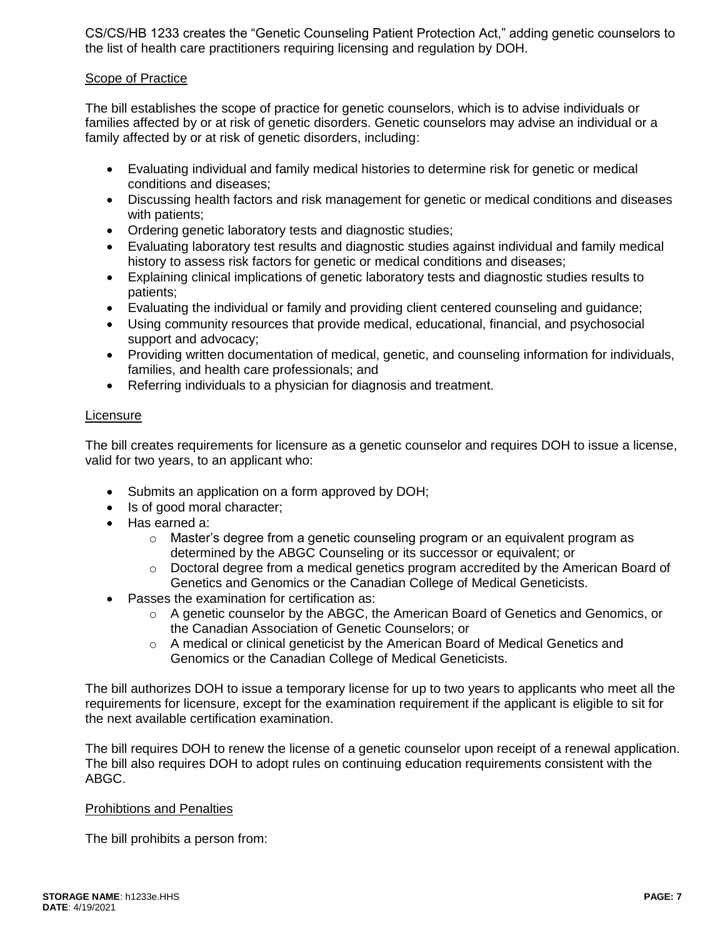CS/CS/HB 1233 creates the "Genetic Counseling Patient Protection Act," adding genetic counselors to the list of health care practitioners requiring licensing and regulation by DOH.

### Scope of Practice

The bill establishes the scope of practice for genetic counselors, which is to advise individuals or families affected by or at risk of genetic disorders. Genetic counselors may advise an individual or a family affected by or at risk of genetic disorders, including:

- Evaluating individual and family medical histories to determine risk for genetic or medical conditions and diseases;
- Discussing health factors and risk management for genetic or medical conditions and diseases with patients;
- Ordering genetic laboratory tests and diagnostic studies;
- Evaluating laboratory test results and diagnostic studies against individual and family medical history to assess risk factors for genetic or medical conditions and diseases;
- Explaining clinical implications of genetic laboratory tests and diagnostic studies results to patients;
- Evaluating the individual or family and providing client centered counseling and guidance;
- Using community resources that provide medical, educational, financial, and psychosocial support and advocacy;
- Providing written documentation of medical, genetic, and counseling information for individuals, families, and health care professionals; and
- Referring individuals to a physician for diagnosis and treatment.

### Licensure

The bill creates requirements for licensure as a genetic counselor and requires DOH to issue a license, valid for two years, to an applicant who:

- Submits an application on a form approved by DOH;
- Is of good moral character;
- Has earned a:
	- o Master's degree from a genetic counseling program or an equivalent program as determined by the ABGC Counseling or its successor or equivalent; or
	- $\circ$  Doctoral degree from a medical genetics program accredited by the American Board of Genetics and Genomics or the Canadian College of Medical Geneticists.
- Passes the examination for certification as:
	- $\circ$  A genetic counselor by the ABGC, the American Board of Genetics and Genomics, or the Canadian Association of Genetic Counselors; or
	- $\circ$  A medical or clinical geneticist by the American Board of Medical Genetics and Genomics or the Canadian College of Medical Geneticists.

The bill authorizes DOH to issue a temporary license for up to two years to applicants who meet all the requirements for licensure, except for the examination requirement if the applicant is eligible to sit for the next available certification examination.

The bill requires DOH to renew the license of a genetic counselor upon receipt of a renewal application. The bill also requires DOH to adopt rules on continuing education requirements consistent with the ABGC.

#### Prohibtions and Penalties

The bill prohibits a person from: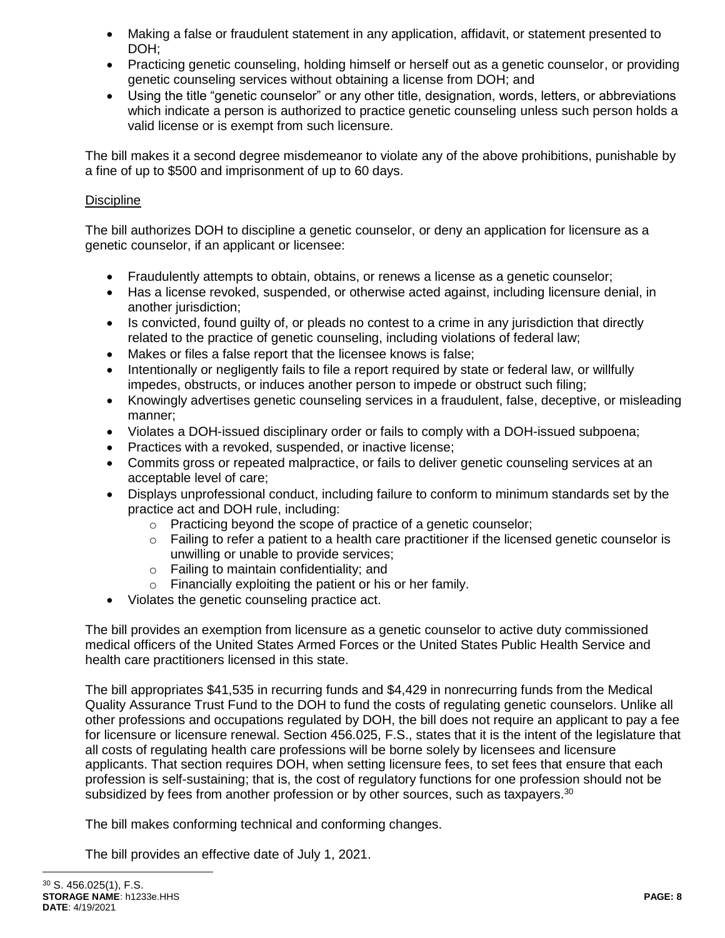- Making a false or fraudulent statement in any application, affidavit, or statement presented to DOH;
- Practicing genetic counseling, holding himself or herself out as a genetic counselor, or providing genetic counseling services without obtaining a license from DOH; and
- Using the title "genetic counselor" or any other title, designation, words, letters, or abbreviations which indicate a person is authorized to practice genetic counseling unless such person holds a valid license or is exempt from such licensure.

The bill makes it a second degree misdemeanor to violate any of the above prohibitions, punishable by a fine of up to \$500 and imprisonment of up to 60 days.

### **Discipline**

The bill authorizes DOH to discipline a genetic counselor, or deny an application for licensure as a genetic counselor, if an applicant or licensee:

- Fraudulently attempts to obtain, obtains, or renews a license as a genetic counselor;
- Has a license revoked, suspended, or otherwise acted against, including licensure denial, in another jurisdiction;
- Is convicted, found quilty of, or pleads no contest to a crime in any jurisdiction that directly related to the practice of genetic counseling, including violations of federal law;
- Makes or files a false report that the licensee knows is false;
- Intentionally or negligently fails to file a report required by state or federal law, or willfully impedes, obstructs, or induces another person to impede or obstruct such filing;
- Knowingly advertises genetic counseling services in a fraudulent, false, deceptive, or misleading manner;
- Violates a DOH-issued disciplinary order or fails to comply with a DOH-issued subpoena;
- Practices with a revoked, suspended, or inactive license;
- Commits gross or repeated malpractice, or fails to deliver genetic counseling services at an acceptable level of care;
- Displays unprofessional conduct, including failure to conform to minimum standards set by the practice act and DOH rule, including:
	- o Practicing beyond the scope of practice of a genetic counselor;
	- $\circ$  Failing to refer a patient to a health care practitioner if the licensed genetic counselor is unwilling or unable to provide services;
	- $\circ$  Failing to maintain confidentiality; and
	- o Financially exploiting the patient or his or her family.
- Violates the genetic counseling practice act.

The bill provides an exemption from licensure as a genetic counselor to active duty commissioned medical officers of the United States Armed Forces or the United States Public Health Service and health care practitioners licensed in this state.

The bill appropriates \$41,535 in recurring funds and \$4,429 in nonrecurring funds from the Medical Quality Assurance Trust Fund to the DOH to fund the costs of regulating genetic counselors. Unlike all other professions and occupations regulated by DOH, the bill does not require an applicant to pay a fee for licensure or licensure renewal. Section 456.025, F.S., states that it is the intent of the legislature that all costs of regulating health care professions will be borne solely by licensees and licensure applicants. That section requires DOH, when setting licensure fees, to set fees that ensure that each profession is self-sustaining; that is, the cost of regulatory functions for one profession should not be subsidized by fees from another profession or by other sources, such as taxpayers.<sup>30</sup>

The bill makes conforming technical and conforming changes.

The bill provides an effective date of July 1, 2021.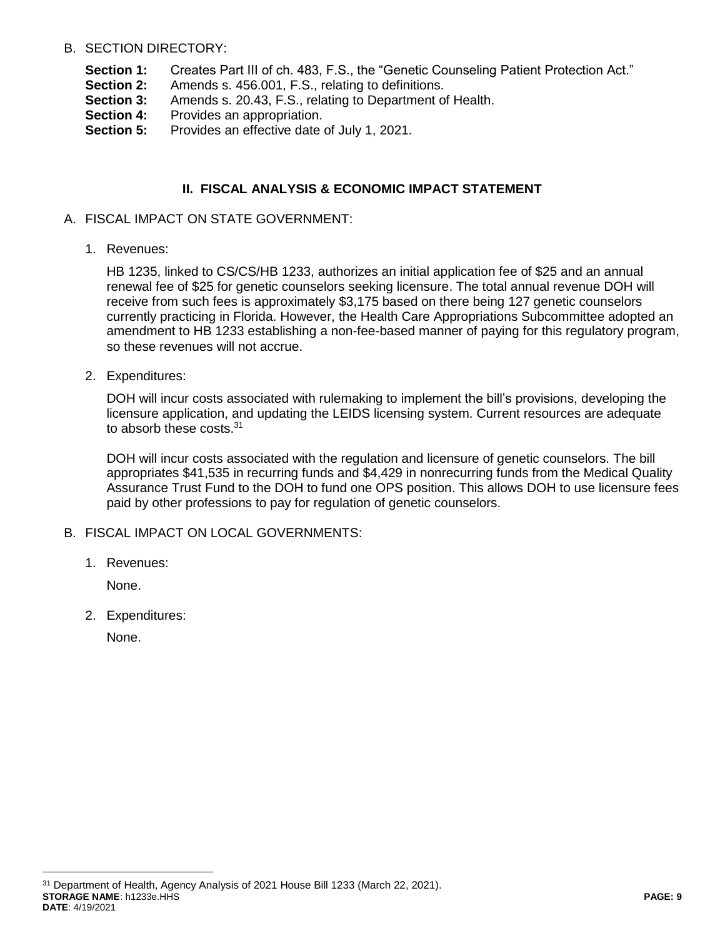### B. SECTION DIRECTORY:

- **Section 1:** Creates Part III of ch. 483, F.S., the "Genetic Counseling Patient Protection Act."
- **Section 2:** Amends s. 456.001, F.S., relating to definitions.
- **Section 3:** Amends s. 20.43, F.S., relating to Department of Health.
- **Section 4:** Provides an appropriation.
- **Section 5:** Provides an effective date of July 1, 2021.

# **II. FISCAL ANALYSIS & ECONOMIC IMPACT STATEMENT**

- A. FISCAL IMPACT ON STATE GOVERNMENT:
	- 1. Revenues:

HB 1235, linked to CS/CS/HB 1233, authorizes an initial application fee of \$25 and an annual renewal fee of \$25 for genetic counselors seeking licensure. The total annual revenue DOH will receive from such fees is approximately \$3,175 based on there being 127 genetic counselors currently practicing in Florida. However, the Health Care Appropriations Subcommittee adopted an amendment to HB 1233 establishing a non-fee-based manner of paying for this regulatory program, so these revenues will not accrue.

2. Expenditures:

DOH will incur costs associated with rulemaking to implement the bill's provisions, developing the licensure application, and updating the LEIDS licensing system. Current resources are adequate to absorb these costs.<sup>31</sup>

DOH will incur costs associated with the regulation and licensure of genetic counselors. The bill appropriates \$41,535 in recurring funds and \$4,429 in nonrecurring funds from the Medical Quality Assurance Trust Fund to the DOH to fund one OPS position. This allows DOH to use licensure fees paid by other professions to pay for regulation of genetic counselors.

- B. FISCAL IMPACT ON LOCAL GOVERNMENTS:
	- 1. Revenues:

None.

2. Expenditures:

None.

**STORAGE NAME**: h1233e.HHS **PAGE: 9 DATE**: 4/19/2021 <sup>31</sup> Department of Health, Agency Analysis of 2021 House Bill 1233 (March 22, 2021).